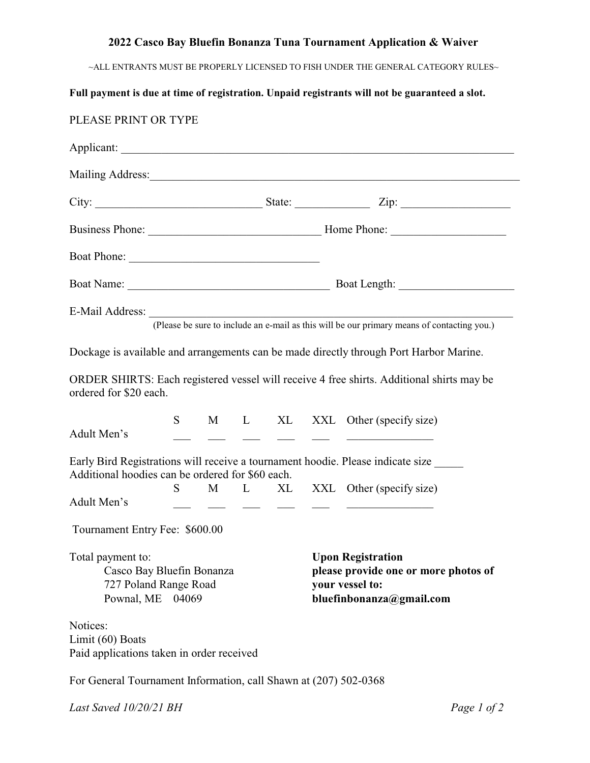## **2022 Casco Bay Bluefin Bonanza Tuna Tournament Application & Waiver**

 $\sim$ ALL ENTRANTS MUST BE PROPERLY LICENSED TO FISH UNDER THE GENERAL CATEGORY RULES

## **Full payment is due at time of registration. Unpaid registrants will not be guaranteed a slot.**

| PLEASE PRINT OR TYPE                                                                           |    |  |  |  |                                                                                                                 |                                                                                                                                                          |  |  |
|------------------------------------------------------------------------------------------------|----|--|--|--|-----------------------------------------------------------------------------------------------------------------|----------------------------------------------------------------------------------------------------------------------------------------------------------|--|--|
|                                                                                                |    |  |  |  |                                                                                                                 |                                                                                                                                                          |  |  |
|                                                                                                |    |  |  |  |                                                                                                                 | Mailing Address: Mailing Address: No. 1988.                                                                                                              |  |  |
|                                                                                                |    |  |  |  |                                                                                                                 |                                                                                                                                                          |  |  |
|                                                                                                |    |  |  |  |                                                                                                                 |                                                                                                                                                          |  |  |
|                                                                                                |    |  |  |  |                                                                                                                 |                                                                                                                                                          |  |  |
|                                                                                                |    |  |  |  |                                                                                                                 |                                                                                                                                                          |  |  |
|                                                                                                |    |  |  |  |                                                                                                                 | (Please be sure to include an e-mail as this will be our primary means of contacting you.)                                                               |  |  |
|                                                                                                |    |  |  |  |                                                                                                                 | Dockage is available and arrangements can be made directly through Port Harbor Marine.                                                                   |  |  |
| ordered for \$20 each.                                                                         |    |  |  |  |                                                                                                                 | ORDER SHIRTS: Each registered vessel will receive 4 free shirts. Additional shirts may be                                                                |  |  |
| Adult Men's                                                                                    | S. |  |  |  |                                                                                                                 | M L XL XXL Other (specify size)<br><u> 1980 - John Stein, mars et al. (b. 1980)</u>                                                                      |  |  |
| Additional hoodies can be ordered for \$60 each.                                               |    |  |  |  |                                                                                                                 | Early Bird Registrations will receive a tournament hoodie. Please indicate size                                                                          |  |  |
| Adult Men's                                                                                    | S. |  |  |  |                                                                                                                 | M L XL XXL Other (specify size)<br><u> 1980 - Jan James James Barnett, politik eta provincia eta provincia eta provincia eta provincia eta provincia</u> |  |  |
| Tournament Entry Fee: \$600.00                                                                 |    |  |  |  |                                                                                                                 |                                                                                                                                                          |  |  |
| Total payment to:<br>Casco Bay Bluefin Bonanza<br>727 Poland Range Road<br>Pownal, ME<br>04069 |    |  |  |  | <b>Upon Registration</b><br>please provide one or more photos of<br>your vessel to:<br>bluefinbonanza@gmail.com |                                                                                                                                                          |  |  |
| Notices:<br>Limit (60) Boats<br>Paid applications taken in order received                      |    |  |  |  |                                                                                                                 |                                                                                                                                                          |  |  |
| For General Tournament Information, call Shawn at (207) 502-0368                               |    |  |  |  |                                                                                                                 |                                                                                                                                                          |  |  |

*Last Saved 10/20/21 BH Page 1 of 2*